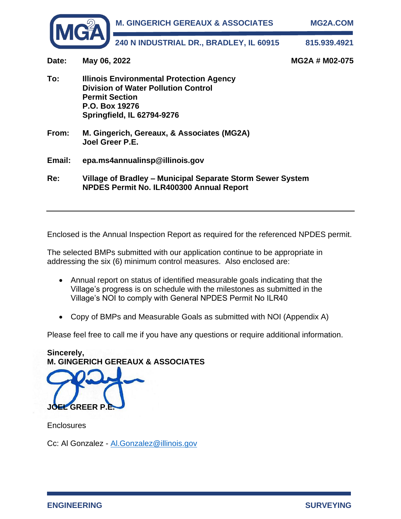

**Date: May 06, 2022 MG2A # M02-075 To: Illinois Environmental Protection Agency Division of Water Pollution Control Permit Section P.O. Box 19276 Springfield, IL 62794-9276 From: M. Gingerich, Gereaux, & Associates (MG2A) Joel Greer P.E. Email: epa.ms4annualinsp@illinois.gov Re: Village of Bradley – Municipal Separate Storm Sewer System NPDES Permit No. ILR400300 Annual Report** 

Enclosed is the Annual Inspection Report as required for the referenced NPDES permit.

The selected BMPs submitted with our application continue to be appropriate in addressing the six (6) minimum control measures. Also enclosed are:

- Annual report on status of identified measurable goals indicating that the Village's progress is on schedule with the milestones as submitted in the Village's NOI to comply with General NPDES Permit No ILR40
- Copy of BMPs and Measurable Goals as submitted with NOI (Appendix A)

Please feel free to call me if you have any questions or require additional information.

**Sincerely, M. GINGERICH GEREAUX & ASSOCIATES**

**JOEL GREER P.E.**

**Enclosures** 

Cc: Al Gonzalez - Al.Gonzalez@illinois.gov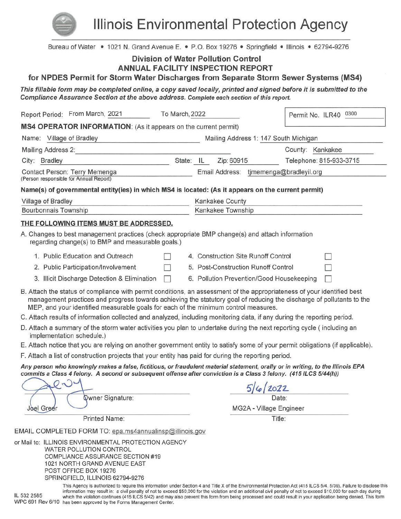

**Illinois Environmental Protection Agency** 

| Bureau of Water • 1021 N. Grand Avenue E. • P.O. Box 19276 • Springfield • Illinois • 62794-9276                                                                                                                                                                                                                                        |                |                                            |                         |
|-----------------------------------------------------------------------------------------------------------------------------------------------------------------------------------------------------------------------------------------------------------------------------------------------------------------------------------------|----------------|--------------------------------------------|-------------------------|
|                                                                                                                                                                                                                                                                                                                                         |                | <b>Division of Water Pollution Control</b> |                         |
| for NPDES Permit for Storm Water Discharges from Separate Storm Sewer Systems (MS4)                                                                                                                                                                                                                                                     |                | <b>ANNUAL FACILITY INSPECTION REPORT</b>   |                         |
|                                                                                                                                                                                                                                                                                                                                         |                |                                            |                         |
| This fillable form may be completed online, a copy saved locally, printed and signed before it is submitted to the<br>Compliance Assurance Section at the above address. Complete each section of this report.                                                                                                                          |                |                                            |                         |
| Report Period: From March, 2021                                                                                                                                                                                                                                                                                                         | To March, 2022 |                                            | Permit No. ILR40 0300   |
| MS4 OPERATOR INFORMATION: (As it appears on the current permit)                                                                                                                                                                                                                                                                         |                |                                            |                         |
| Name: Village of Bradley                                                                                                                                                                                                                                                                                                                |                | Mailing Address 1: 147 South Michigan      |                         |
| Mailing Address 2:                                                                                                                                                                                                                                                                                                                      |                |                                            | County: Kankakee        |
| City: Bradley                                                                                                                                                                                                                                                                                                                           |                | State: IL<br>Zip: 60915                    | Telephone: 815-933-3715 |
| Contact Person: Terry Memenga<br>(Person responsible for Annual Report)                                                                                                                                                                                                                                                                 |                | Email Address: tjmemenga@bradleyil.org     |                         |
| Name(s) of governmental entity(ies) in which MS4 is located: (As it appears on the current permit)                                                                                                                                                                                                                                      |                |                                            |                         |
| Village of Bradley                                                                                                                                                                                                                                                                                                                      |                | Kankakee County                            |                         |
| <b>Bourbonnais Township</b>                                                                                                                                                                                                                                                                                                             |                | Kankakee Township                          |                         |
| THE FOLLOWING ITEMS MUST BE ADDRESSED.                                                                                                                                                                                                                                                                                                  |                |                                            |                         |
| A. Changes to best management practices (check appropriate BMP change(s) and attach information<br>regarding change(s) to BMP and measurable goals.)                                                                                                                                                                                    |                |                                            |                         |
| 1. Public Education and Outreach                                                                                                                                                                                                                                                                                                        |                | 4. Construction Site Runoff Control        |                         |
| 2. Public Participation/Involvement                                                                                                                                                                                                                                                                                                     |                | 5. Post-Construction Runoff Control        |                         |
| 3. Illicit Discharge Detection & Elimination                                                                                                                                                                                                                                                                                            |                | 6. Pollution Prevention/Good Housekeeping  |                         |
| B. Attach the status of compliance with permit conditions, an assessment of the appropriateness of your identified best<br>management practices and progress towards achieving the statutory goal of reducing the discharge of pollutants to the<br>MEP, and your identified measurable goals for each of the minimum control measures. |                |                                            |                         |
| C. Attach results of information collected and analyzed, including monitoring data, if any during the reporting period.                                                                                                                                                                                                                 |                |                                            |                         |
| D. Attach a summary of the storm water activities you plan to undertake during the next reporting cycle (including an<br>implementation schedule.)                                                                                                                                                                                      |                |                                            |                         |
| E. Attach notice that you are relying on another government entity to satisfy some of your permit obligations (if applicable).                                                                                                                                                                                                          |                |                                            |                         |
| F. Attach a list of construction projects that your entity has paid for during the reporting period.                                                                                                                                                                                                                                    |                |                                            |                         |
| Any person who knowingly makes a false, fictitious, or fraudulent material statement, orally or in writing, to the Illinois EPA<br>commits a Class 4 felony. A second or subsequent offense after conviction is a Class 3 felony. (415 ILCS 5/44(h))                                                                                    |                |                                            |                         |
|                                                                                                                                                                                                                                                                                                                                         |                |                                            | 5/6/2022                |
| Qwner Signature:                                                                                                                                                                                                                                                                                                                        |                |                                            | Date:                   |
| <b>Joel Green</b>                                                                                                                                                                                                                                                                                                                       |                |                                            | MG2A - Village Engineer |
| Printed Name:                                                                                                                                                                                                                                                                                                                           |                |                                            | Title:                  |
| EMAIL COMPLETED FORM TO: epa.ms4annualinsp@illinois.gov                                                                                                                                                                                                                                                                                 |                |                                            |                         |
| or Mail to: ILLINOIS ENVIRONMENTAL PROTECTION AGENCY<br><b>WATER POLLUTION CONTROL</b><br><b>COMPLIANCE ASSURANCE SECTION #19</b><br>1021 NORTH GRAND AVENUE EAST<br>POST OFFICE BOX 19276<br>SPRINGFIELD ILLINOIS 62794-9276                                                                                                           |                |                                            |                         |

This Agency is authorized to require this information under Section 4 and Title X of the Environmental Protection Act (415 ILCS 5/4, 5/39). Failure to disclose this information may result in: a civil penalty of not to exceed \$50,000 for the violation and an additional civil penalty of not to exceed \$10,000 for each day during IL 532 2585 which the violation continues (415 ILCS 5/42) and may also prevent this form from being processed and could result in your application being denied. This form WPC 691 Rev 6/10 has been approved by the Forms Management Center.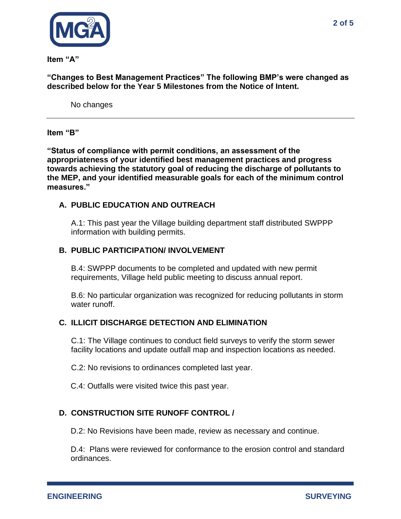

**Item "A"** 

**"Changes to Best Management Practices" The following BMP's were changed as described below for the Year 5 Milestones from the Notice of Intent.**

No changes

**Item "B"** 

**"Status of compliance with permit conditions, an assessment of the appropriateness of your identified best management practices and progress towards achieving the statutory goal of reducing the discharge of pollutants to the MEP, and your identified measurable goals for each of the minimum control measures."**

## **A. PUBLIC EDUCATION AND OUTREACH**

A.1: This past year the Village building department staff distributed SWPPP information with building permits.

## **B. PUBLIC PARTICIPATION/ INVOLVEMENT**

B.4: SWPPP documents to be completed and updated with new permit requirements, Village held public meeting to discuss annual report.

B.6: No particular organization was recognized for reducing pollutants in storm water runoff.

#### **C. ILLICIT DISCHARGE DETECTION AND ELIMINATION**

C.1: The Village continues to conduct field surveys to verify the storm sewer facility locations and update outfall map and inspection locations as needed.

C.2: No revisions to ordinances completed last year.

C.4: Outfalls were visited twice this past year.

# **D. CONSTRUCTION SITE RUNOFF CONTROL /**

D.2: No Revisions have been made, review as necessary and continue.

D.4: Plans were reviewed for conformance to the erosion control and standard ordinances.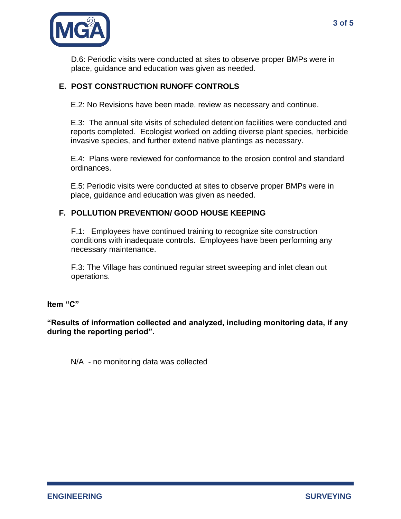

D.6: Periodic visits were conducted at sites to observe proper BMPs were in place, guidance and education was given as needed.

# **E. POST CONSTRUCTION RUNOFF CONTROLS**

E.2: No Revisions have been made, review as necessary and continue.

E.3: The annual site visits of scheduled detention facilities were conducted and reports completed. Ecologist worked on adding diverse plant species, herbicide invasive species, and further extend native plantings as necessary.

E.4: Plans were reviewed for conformance to the erosion control and standard ordinances.

E.5: Periodic visits were conducted at sites to observe proper BMPs were in place, guidance and education was given as needed.

# **F. POLLUTION PREVENTION/ GOOD HOUSE KEEPING**

F.1: Employees have continued training to recognize site construction conditions with inadequate controls. Employees have been performing any necessary maintenance.

F.3: The Village has continued regular street sweeping and inlet clean out operations.

**Item "C"** 

**"Results of information collected and analyzed, including monitoring data, if any during the reporting period".**

N/A - no monitoring data was collected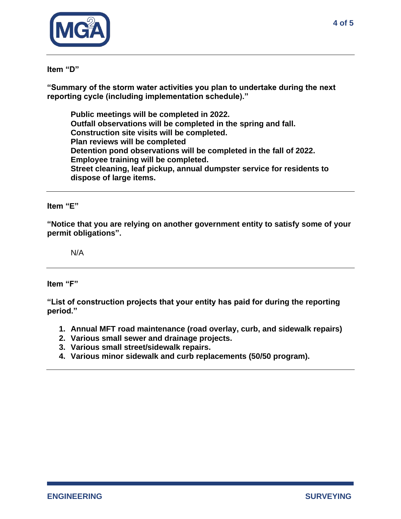

#### **Item "D"**

**"Summary of the storm water activities you plan to undertake during the next reporting cycle (including implementation schedule)."**

**Public meetings will be completed in 2022. Outfall observations will be completed in the spring and fall. Construction site visits will be completed. Plan reviews will be completed Detention pond observations will be completed in the fall of 2022. Employee training will be completed. Street cleaning, leaf pickup, annual dumpster service for residents to dispose of large items.** 

#### **Item "E"**

**"Notice that you are relying on another government entity to satisfy some of your permit obligations".**

N/A

**Item "F"**

**"List of construction projects that your entity has paid for during the reporting period."**

- **1. Annual MFT road maintenance (road overlay, curb, and sidewalk repairs)**
- **2. Various small sewer and drainage projects.**
- **3. Various small street/sidewalk repairs.**
- **4. Various minor sidewalk and curb replacements (50/50 program).**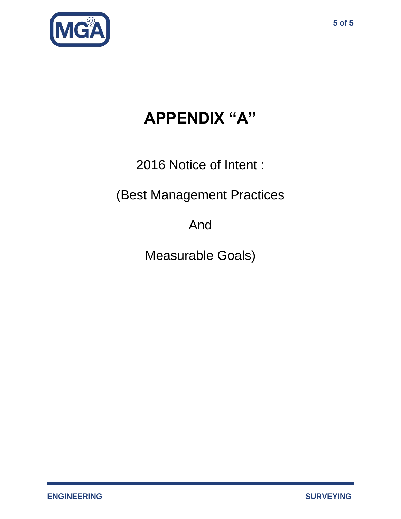

# **APPENDIX "A"**

2016 Notice of Intent :

(Best Management Practices

And

Measurable Goals)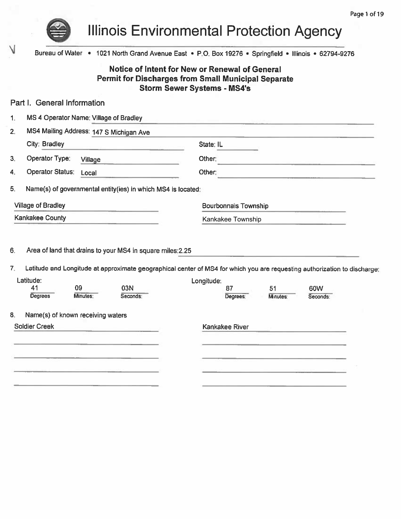

Λ

**Illinois Environmental Protection Agency** 

Bureau of Water • 1021 North Grand Avenue East • P.O. Box 19276 • Springfield • Illinois • 62794-9276

# Notice of Intent for New or Renewal of General **Permit for Discharges from Small Municipal Separate Storm Sewer Systems - MS4's**

| Part I. General Information                                                                               |                                                                                                                                         |
|-----------------------------------------------------------------------------------------------------------|-----------------------------------------------------------------------------------------------------------------------------------------|
| MS 4 Operator Name: Village of Bradley<br>1.                                                              |                                                                                                                                         |
| MS4 Mailing Address: 147 S Michigan Ave<br>2.                                                             |                                                                                                                                         |
| City: Bradley<br><u> La Carlo Carlo de Se</u>                                                             | State: IL                                                                                                                               |
| Operator Type:<br>З.<br>Village<br>the company of the company of                                          | Other:                                                                                                                                  |
| <b>Operator Status:</b><br>4.<br>Local                                                                    | Other:<br>the contract of the contract of the contract of the contract of the contract of                                               |
| 5.<br>Name(s) of governmental entity(ies) in which MS4 is located:                                        |                                                                                                                                         |
| <b>Village of Bradley</b>                                                                                 | <b>Bourbonnais Township</b>                                                                                                             |
| <b>Kankakee County</b>                                                                                    | Kankakee Township                                                                                                                       |
| Area of land that drains to your MS4 in square miles: 2.25<br>6.                                          |                                                                                                                                         |
| Latitude:                                                                                                 | Latitude and Longitude at approximate geographical center of MS4 for which you are requesting authorization to discharge;<br>Longitude: |
| 41<br>09<br>03N<br><b>Degrees</b><br>Minutes:<br>Seconds:                                                 | 87<br>51<br>60W<br>Degrees:<br>Minutes:<br>Seconds:                                                                                     |
| 7.<br>Name(s) of known receiving waters<br>8.                                                             |                                                                                                                                         |
| <b>Soldier Creek</b><br>and the state of the state of the state of the state of the state of the state of | Kankakee River                                                                                                                          |
| and the company of the company of the company of the company of the company of the company of             | the company of the company of the company of the company of the company of the company of                                               |
|                                                                                                           |                                                                                                                                         |
| A 1992 Control of the Children and Children Association and                                               |                                                                                                                                         |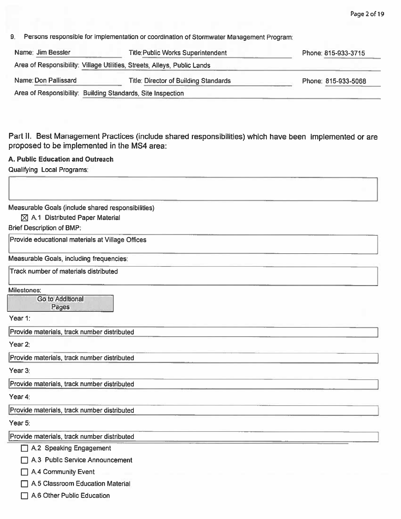9. Persons responsible for implementation or coordination of Stormwater Management Program.

| Name: Jim Bessler                                                        | <b>Title: Public Works Superintendent</b> | Phone: 815-933-3715 |
|--------------------------------------------------------------------------|-------------------------------------------|---------------------|
| Area of Responsibility: Village Utilities, Streets, Alleys, Public Lands |                                           |                     |
| Name: Don Pallissard                                                     | Title: Director of Building Standards     | Phone: 815-933-5068 |
| Area of Responsibility: Building Standards, Site Inspection              |                                           |                     |

Part II. Best Management Practices (include shared responsibilities) which have been implemented or are proposed to be implemented in the MS4 area:

#### A. Public Education and Outreach

Qualifying Local Programs:

Measurable Goals (include shared responsibilities)

**⊠ A.1 Distributed Paper Material** 

**Brief Description of BMP:** 

Provide educational materials at Village Offices

Measurable Goals, including frequencies:

Track number of materials distributed

Milestones:

**Go to Additional** Pages

Year 1:

Provide materials, track number distributed

Year 2:

Provide materials, track number distributed

Year 3:

Provide materials, track number distributed

Year 4:

Provide materials, track number distributed

Year 5:

Provide materials, track number distributed

 $\Box$  A.2 Speaking Engagement

A.3 Public Service Announcement

A.4 Community Event

A.5 Classroom Education Material

A.6 Other Public Education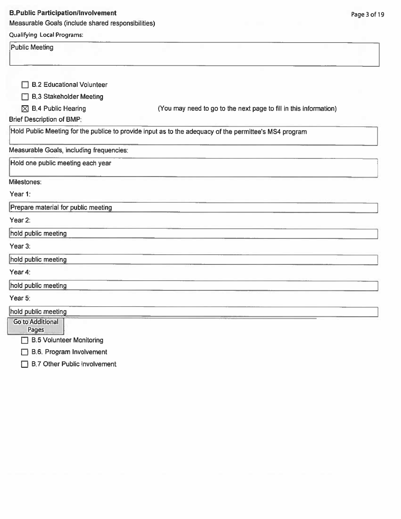#### **B.Public Participation/Involvement**

Measurable Goals (include shared responsibilities)

## **Qualifying Local Programs:**

**Public Meeting** 

| <b>B.2 Educational Volunteer</b>         |                                                                                                        |
|------------------------------------------|--------------------------------------------------------------------------------------------------------|
|                                          |                                                                                                        |
| <b>B.3 Stakeholder Meeting</b>           |                                                                                                        |
| <b>B.4 Public Hearing</b><br>⊠           | (You may need to go to the next page to fill in this information)                                      |
| <b>Brief Description of BMP:</b>         |                                                                                                        |
|                                          | Hold Public Meeting for the publice to provide input as to the adequacy of the permittee's MS4 program |
| Measurable Goals, including frequencies: |                                                                                                        |
| Hold one public meeting each year        |                                                                                                        |
| Milestones:                              |                                                                                                        |
| Year 1:                                  |                                                                                                        |
| Prepare material for public meeting      |                                                                                                        |
| Year 2:                                  |                                                                                                        |
| hold public meeting                      |                                                                                                        |
| Year 3:                                  |                                                                                                        |
| hold public meeting                      |                                                                                                        |
| Year 4:                                  |                                                                                                        |
| hold public meeting                      |                                                                                                        |
| Year 5:                                  |                                                                                                        |
| hold public meeting                      |                                                                                                        |
| <b>Go to Additional</b><br>Pages         |                                                                                                        |
| <b>B.5 Volunteer Monitoring</b><br>٦     |                                                                                                        |

B.6. Program Involvement

**B.7 Other Public Involvement**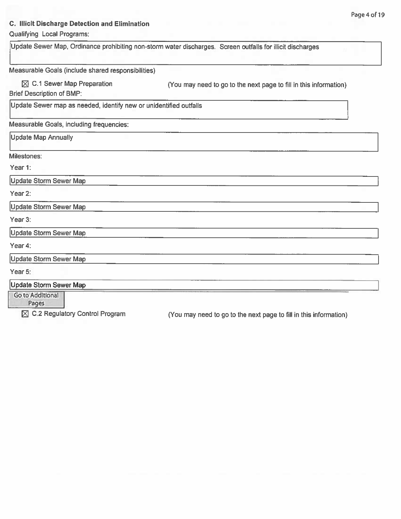# **C. Illicit Discharge Detection and Elimination**

# **Qualifying Local Programs:**

| Update Sewer Map, Ordinance prohibiting non-storm water discharges. Screen outfalls for illicit discharges |                                                                   |  |
|------------------------------------------------------------------------------------------------------------|-------------------------------------------------------------------|--|
| Measurable Goals (include shared responsibilities)                                                         |                                                                   |  |
| $\boxtimes$ C.1 Sewer Map Preparation<br><b>Brief Description of BMP:</b>                                  | (You may need to go to the next page to fill in this information) |  |
| Update Sewer map as needed, identify new or unidentified outfalls                                          |                                                                   |  |
| Measurable Goals, including frequencies:                                                                   |                                                                   |  |
| <b>Update Map Annually</b>                                                                                 |                                                                   |  |
| Milestones:                                                                                                |                                                                   |  |
| Year 1:                                                                                                    |                                                                   |  |
| <b>Update Storm Sewer Map</b>                                                                              |                                                                   |  |
| Year 2:                                                                                                    |                                                                   |  |
| <b>Update Storm Sewer Map</b>                                                                              |                                                                   |  |
| Year 3:                                                                                                    |                                                                   |  |
| <b>Update Storm Sewer Map</b>                                                                              |                                                                   |  |
| Year 4:                                                                                                    |                                                                   |  |
| <b>Update Storm Sewer Map</b>                                                                              |                                                                   |  |
| Year 5:                                                                                                    |                                                                   |  |
| <b>Update Storm Sewer Map</b>                                                                              |                                                                   |  |
| Go to Additional<br>Pages                                                                                  |                                                                   |  |
| $\boxtimes$ C.2 Regulatory Control Program                                                                 | (You may need to go to the next page to fill in this information) |  |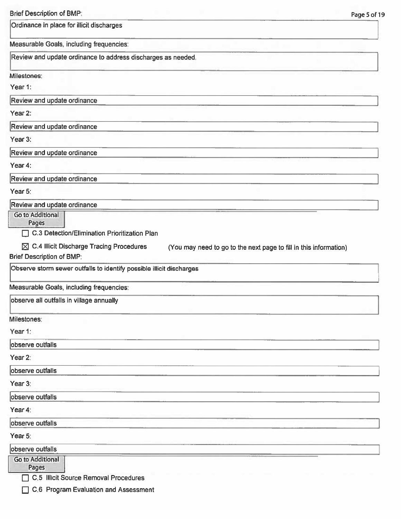| <b>Brief Description of BMP:</b>                                                                                                                                                                             | Page 5 of 19 |
|--------------------------------------------------------------------------------------------------------------------------------------------------------------------------------------------------------------|--------------|
| Ordinance in place for illicit discharges                                                                                                                                                                    |              |
| Measurable Goals, including frequencies:                                                                                                                                                                     |              |
| Review and update ordinance to address discharges as needed.                                                                                                                                                 |              |
| Milestones:                                                                                                                                                                                                  |              |
| Year 1:                                                                                                                                                                                                      |              |
| Review and update ordinance                                                                                                                                                                                  |              |
| Year 2:                                                                                                                                                                                                      |              |
| Review and update ordinance                                                                                                                                                                                  |              |
| Year 3:                                                                                                                                                                                                      |              |
| Review and update ordinance                                                                                                                                                                                  |              |
| Year 4:                                                                                                                                                                                                      |              |
| Review and update ordinance                                                                                                                                                                                  |              |
| Year 5:                                                                                                                                                                                                      |              |
| Review and update ordinance                                                                                                                                                                                  |              |
| Go to Additional<br>Pages<br>C.3 Detection/Elimination Prioritization Plan<br>П<br>$\boxtimes$ C.4 Illicit Discharge Tracing Procedures<br>(You may need to go to the next page to fill in this information) |              |
| <b>Brief Description of BMP:</b>                                                                                                                                                                             |              |
| Observe storm sewer outfalls to identify possible illicit discharges                                                                                                                                         |              |
| Measurable Goals, including frequencies:                                                                                                                                                                     |              |
| observe all outfalls in village annually                                                                                                                                                                     |              |
| Milestones:                                                                                                                                                                                                  |              |
| Year 1:                                                                                                                                                                                                      |              |
| observe outfalls                                                                                                                                                                                             |              |
| Year 2:                                                                                                                                                                                                      |              |
| observe outfalls                                                                                                                                                                                             |              |
| Year 3:                                                                                                                                                                                                      |              |
| observe outfalls                                                                                                                                                                                             |              |
| Year 4:                                                                                                                                                                                                      |              |
| observe outfalls                                                                                                                                                                                             |              |
| Year 5:                                                                                                                                                                                                      |              |
| observe outfalls                                                                                                                                                                                             |              |
| <b>Go to Additional</b><br>Pages                                                                                                                                                                             |              |
| C.5 Illicit Source Removal Procedures                                                                                                                                                                        |              |
| C.6 Program Evaluation and Assessment                                                                                                                                                                        |              |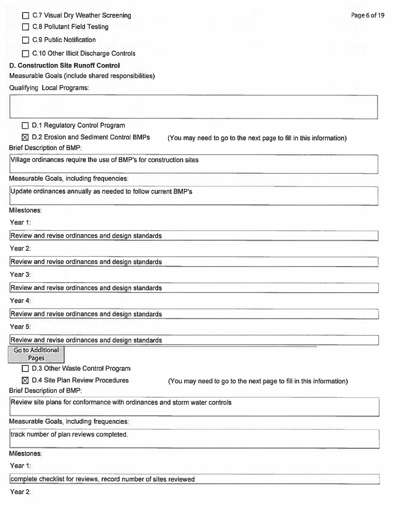C.7 Visual Dry Weather Screening

C.8 Pollutant Field Testing

 $\Box$  C.9 Public Notification

C.10 Other Illicit Discharge Controls

## **D. Construction Site Runoff Control**

Measurable Goals (include shared responsibilities)

Qualifying Local Programs:

D.1 Regulatory Control Program

 $\boxtimes$  D.2 Erosion and Sediment Control BMPs (You may need to go to the next page to fill in this information) **Brief Description of BMP:** 

Village ordinances require the use of BMP's for construction sites

Measurable Goals, including frequencies:

Update ordinances annually as needed to follow current BMP's

Milestones:

Year 1:

Review and revise ordinances and design standards

Year 2:

Review and revise ordinances and design standards

Year 3:

Review and revise ordinances and design standards

Year 4:

Review and revise ordinances and design standards

Year 5:

Review and revise ordinances and design standards

**Go to Additional** 

Pages D.3 Other Waste Control Program

 $\boxtimes$  D.4 Site Plan Review Procedures

(You may need to go to the next page to fill in this information)

**Brief Description of BMP:** 

Review site plans for conformance with ordinances and storm water controls

Measurable Goals, including frequencies:

track number of plan reviews completed.

Milestones:

Year 1:

complete checklist for reviews, record number of sites reviewed

Year 2: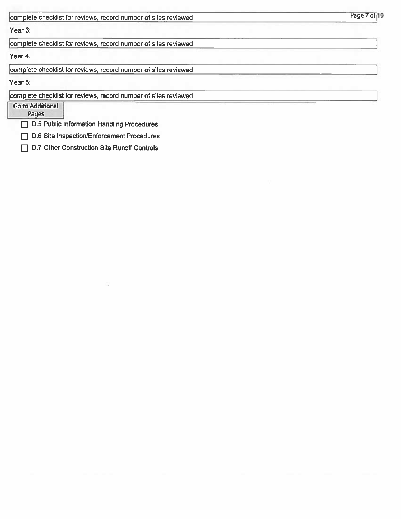| complete checklist for reviews, record number of sites reviewed | Page 7 of 19 |
|-----------------------------------------------------------------|--------------|
| Year 3:                                                         |              |
| complete checklist for reviews, record number of sites reviewed |              |
| Year 4:                                                         |              |
| complete checklist for reviews, record number of sites reviewed |              |
| Year 5:                                                         |              |
| complete checklist for reviews, record number of sites reviewed |              |
| <b>Go to Additional</b><br>Pages                                |              |
| D.5 Public Information Handling Procedures                      |              |

D.6 Site Inspection/Enforcement Procedures

D.7 Other Construction Site Runoff Controls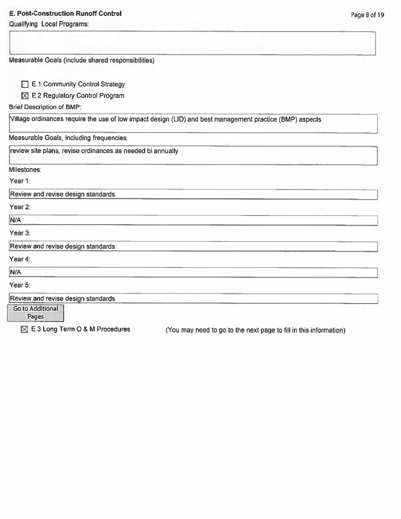## **E. Post-Construction Runoff Control**

Qualifying Local Programs:

| Measurable Goals (include shared responsibilities)                                                       |  |
|----------------------------------------------------------------------------------------------------------|--|
|                                                                                                          |  |
| E.1 Community Control Strategy                                                                           |  |
| E.2 Regulatory Control Program<br>⊠                                                                      |  |
| <b>Brief Description of BMP:</b>                                                                         |  |
| Village ordinances require the use of low impact design (LID) and best management practice (BMP) aspects |  |
| Measurable Goals, including frequencies:                                                                 |  |
| review site plans, revise ordinances as needed bi annually                                               |  |
| Milestones:                                                                                              |  |
| Year 1:                                                                                                  |  |
| Review and revise design standards                                                                       |  |
| Year 2:                                                                                                  |  |
| N/A                                                                                                      |  |
| Year 3:                                                                                                  |  |
| Review and revise design standards                                                                       |  |
| Year 4:                                                                                                  |  |
| N/A                                                                                                      |  |
| Year 5:                                                                                                  |  |
| Review and revise design standards                                                                       |  |
| Go to Additional                                                                                         |  |

⊠ E.3 Long Term O & M Procedures

(You may need to go to the next page to fill in this information)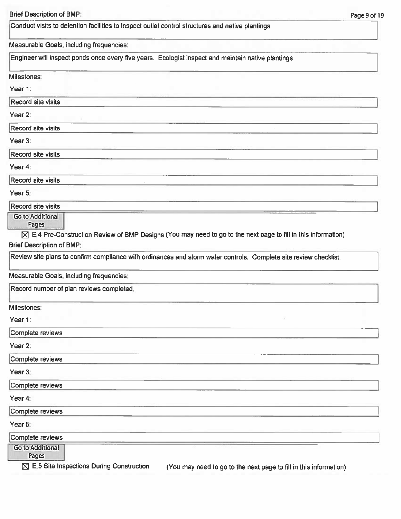Conduct visits to detention facilities to inspect outlet control structures and native plantings

#### Measurable Goals, including frequencies:

Engineer will inspect ponds once every five years. Ecologist inspect and maintain native plantings

#### Milestones:

Year 1:

#### **Record site visits**

Year 2:

**Record site visits** 

Year 3:

**Record site visits** 

Year 4:

Record site visits

Year 5:

**Record site visits** 

**Go to Additional** 

Pages

 $\boxtimes$  E.4 Pre-Construction Review of BMP Designs (You may need to go to the next page to fill in this information) **Brief Description of BMP:** 

Review site plans to confirm compliance with ordinances and storm water controls. Complete site review checklist.

Measurable Goals, including frequencies:

Record number of plan reviews completed.

Milestones:

Year 1:

Complete reviews

Year 2:

Complete reviews

Year 3:

Complete reviews

Year 4:

Complete reviews

Year 5:

Complete reviews

**Go to Additional** 

Pages

 $\boxtimes$  E.5 Site Inspections During Construction

(You may need to go to the next page to fill in this information)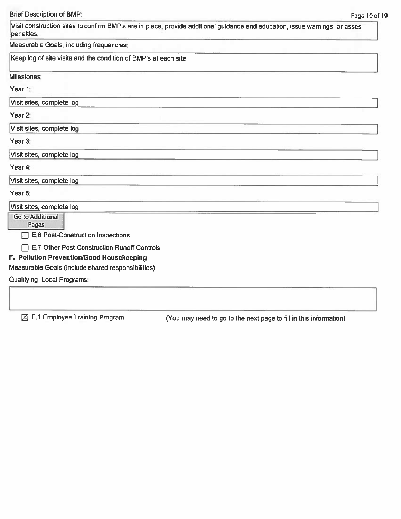Visit construction sites to confirm BMP's are in place, provide additional guidance and education, issue warnings, or asses penalties.

Measurable Goals, including frequencies:

Keep log of site visits and the condition of BMP's at each site

Milestones:

Year 1:

Visit sites, complete log

Year 2:

Visit sites, complete log

Year 3:

Visit sites, complete log

Year 4:

Visit sites, complete log

Year 5:

Visit sites, complete log

**Go to Additional** 

Pages E.6 Post-Construction Inspections

E.7 Other Post-Construction Runoff Controls

# F. Pollution Prevention/Good Housekeeping

Measurable Goals (include shared responsibilities)

Qualifying Local Programs:

 $\boxtimes$  F.1 Employee Training Program

(You may need to go to the next page to fill in this information)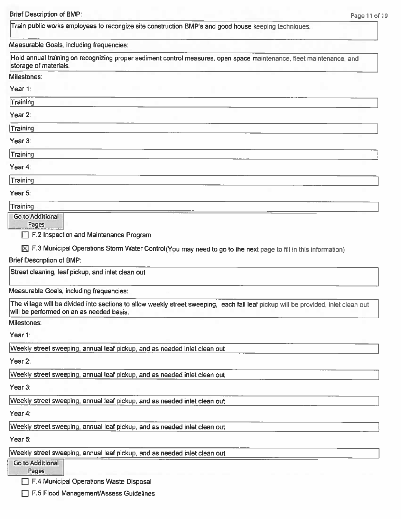Train public works employees to recongize site construction BMP's and good house keeping techniques.

#### Measurable Goals, including frequencies:

Hold annual training on recognizing proper sediment control measures, open space maintenance, fleet maintenance, and storage of materials.

#### Milestones:

Year 1:

Training

Year 2:

Training

Year 3:

Training

Year 4:

Training

Year 5:

Training

Go to Additional

Pages

 $\Box$  F.2 Inspection and Maintenance Program

 $\boxtimes$  F.3 Municipal Operations Storm Water Control (You may need to go to the next page to fill in this information)

**Brief Description of BMP:** 

Street cleaning, leaf pickup, and inlet clean out

Measurable Goals, including frequencies:

The village will be divided into sections to allow weekly street sweeping, each fall leaf pickup will be provided, inlet clean out will be performed on an as needed basis.

Milestones:

Year 1:

Weekly street sweeping, annual leaf pickup, and as needed inlet clean out

Year 2:

Weekly street sweeping, annual leaf pickup, and as needed inlet clean out

Year 3:

Weekly street sweeping, annual leaf pickup, and as needed inlet clean out

Year 4:

Weekly street sweeping, annual leaf pickup, and as needed inlet clean out

Year 5:

Weekly street sweeping, annual leaf pickup, and as needed inlet clean out

Go to Additional Pages

F.4 Municipal Operations Waste Disposal

F.5 Flood Management/Assess Guidelines